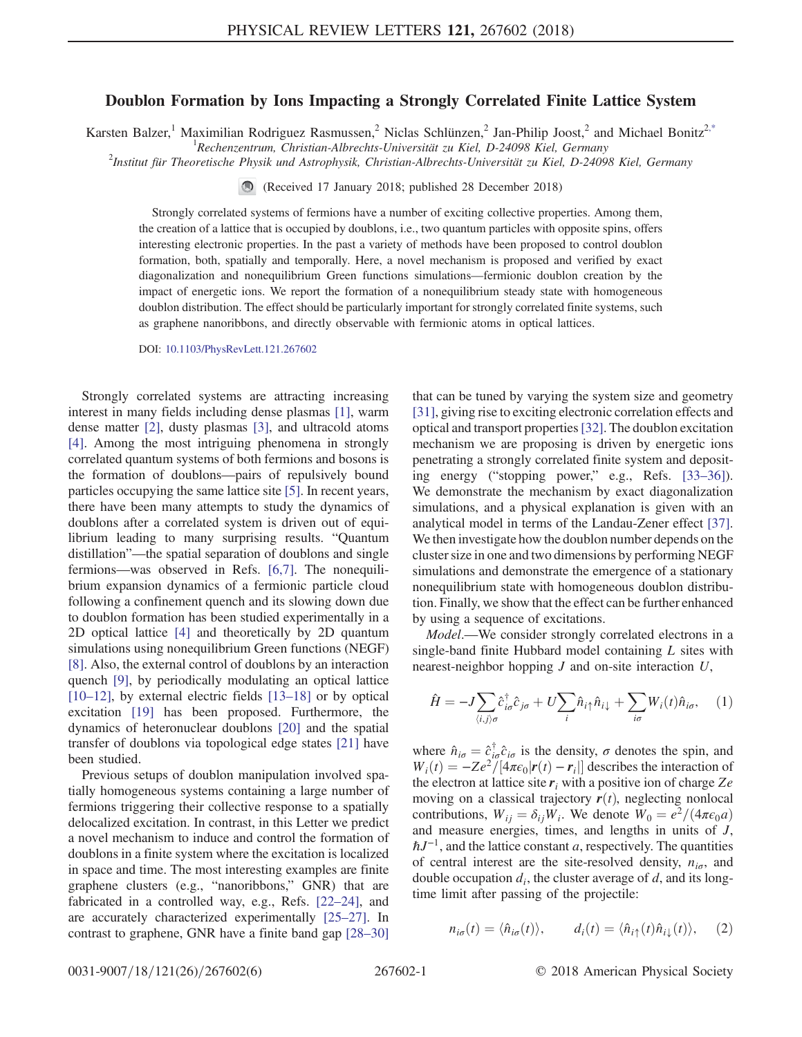## Doublon Formation by Ions Impacting a Strongly Correlated Finite Lattice System

<span id="page-0-1"></span>Karsten Balzer,<sup>1</sup> Maximilian Rodriguez Rasmussen,<sup>2</sup> Niclas Schlünzen,<sup>2</sup> Jan-Philip Joost,<sup>2</sup> and Michael Bonitz<sup>[2,\\*](#page-4-0)</sup>

<sup>1</sup> Rechenzentrum, Christian-Albrechts-Universität zu Kiel, D-24098 Kiel, Germany<br><sup>2</sup> Institut für Theoratische Physik und Astrophysik Christian Albrechts Universität zu Kiel, D-2400

Institut für Theoretische Physik und Astrophysik, Christian-Albrechts-Universität zu Kiel, D-24098 Kiel, Germany

(Received 17 January 2018; published 28 December 2018)

Strongly correlated systems of fermions have a number of exciting collective properties. Among them, the creation of a lattice that is occupied by doublons, i.e., two quantum particles with opposite spins, offers interesting electronic properties. In the past a variety of methods have been proposed to control doublon formation, both, spatially and temporally. Here, a novel mechanism is proposed and verified by exact diagonalization and nonequilibrium Green functions simulations—fermionic doublon creation by the impact of energetic ions. We report the formation of a nonequilibrium steady state with homogeneous doublon distribution. The effect should be particularly important for strongly correlated finite systems, such as graphene nanoribbons, and directly observable with fermionic atoms in optical lattices.

DOI: [10.1103/PhysRevLett.121.267602](https://doi.org/10.1103/PhysRevLett.121.267602)

Strongly correlated systems are attracting increasing interest in many fields including dense plasmas [\[1\],](#page-4-1) warm dense matter [\[2\]](#page-4-2), dusty plasmas [\[3\]](#page-4-3), and ultracold atoms [\[4\]](#page-4-4). Among the most intriguing phenomena in strongly correlated quantum systems of both fermions and bosons is the formation of doublons—pairs of repulsively bound particles occupying the same lattice site [\[5\]](#page-4-5). In recent years, there have been many attempts to study the dynamics of doublons after a correlated system is driven out of equilibrium leading to many surprising results. "Quantum distillation"—the spatial separation of doublons and single fermions—was observed in Refs. [\[6,7\].](#page-4-6) The nonequilibrium expansion dynamics of a fermionic particle cloud following a confinement quench and its slowing down due to doublon formation has been studied experimentally in a 2D optical lattice [\[4\]](#page-4-4) and theoretically by 2D quantum simulations using nonequilibrium Green functions (NEGF) [\[8\]](#page-4-7). Also, the external control of doublons by an interaction quench [\[9\]](#page-4-8), by periodically modulating an optical lattice [\[10](#page-4-9)–12], by external electric fields [13–[18\]](#page-4-10) or by optical excitation [\[19\]](#page-4-11) has been proposed. Furthermore, the dynamics of heteronuclear doublons [\[20\]](#page-4-12) and the spatial transfer of doublons via topological edge states [\[21\]](#page-4-13) have been studied.

Previous setups of doublon manipulation involved spatially homogeneous systems containing a large number of fermions triggering their collective response to a spatially delocalized excitation. In contrast, in this Letter we predict a novel mechanism to induce and control the formation of doublons in a finite system where the excitation is localized in space and time. The most interesting examples are finite graphene clusters (e.g., "nanoribbons," GNR) that are fabricated in a controlled way, e.g., Refs. [\[22](#page-4-14)–24], and are accurately characterized experimentally [\[25](#page-4-15)–27]. In contrast to graphene, GNR have a finite band gap [\[28](#page-5-0)–30] that can be tuned by varying the system size and geometry [\[31\]](#page-5-1), giving rise to exciting electronic correlation effects and optical and transport properties[\[32\].](#page-5-2) The doublon excitation mechanism we are proposing is driven by energetic ions penetrating a strongly correlated finite system and depositing energy ("stopping power," e.g., Refs. [\[33](#page-5-3)–36]). We demonstrate the mechanism by exact diagonalization simulations, and a physical explanation is given with an analytical model in terms of the Landau-Zener effect [\[37\]](#page-5-4). We then investigate how the doublon number depends on the cluster size in one and two dimensions by performing NEGF simulations and demonstrate the emergence of a stationary nonequilibrium state with homogeneous doublon distribution. Finally, we show that the effect can be further enhanced by using a sequence of excitations.

<span id="page-0-0"></span>Model.—We consider strongly correlated electrons in a single-band finite Hubbard model containing L sites with nearest-neighbor hopping  $J$  and on-site interaction  $U$ ,

$$
\hat{H} = -J \sum_{\langle i,j \rangle \sigma} \hat{c}_{i\sigma}^{\dagger} \hat{c}_{j\sigma} + U \sum_{i} \hat{n}_{i\uparrow} \hat{n}_{i\downarrow} + \sum_{i\sigma} W_{i}(t) \hat{n}_{i\sigma}, \quad (1)
$$

where  $\hat{n}_{i\sigma} = \hat{c}_{i\sigma}^{\dagger} \hat{c}_{i\sigma}$  is the density,  $\sigma$  denotes the spin, and  $W_{\cdot}(t) = -Ze^2/(4\pi\epsilon_0|\mathbf{r}(t) - \mathbf{r}_{\cdot}|)$  describes the interaction of  $W_i(t) = -Ze^2/[4\pi\epsilon_0|\mathbf{r}(t) - \mathbf{r}_i|]$  describes the interaction of the electron at lattice site r, with a positive ion of charge Ze the electron at lattice site  $r_i$  with a positive ion of charge Ze moving on a classical trajectory  $r(t)$ , neglecting nonlocal contributions,  $W_{ii} = \delta_{ii}W_i$ . We denote  $W_0 = e^2/(4\pi\epsilon_0 a)$ and measure energies, times, and lengths in units of J,  $\hbar J^{-1}$ , and the lattice constant a, respectively. The quantities of central interest are the site-resolved density,  $n_{i\sigma}$ , and double occupation  $d_i$ , the cluster average of  $d$ , and its longtime limit after passing of the projectile:

$$
n_{i\sigma}(t) = \langle \hat{n}_{i\sigma}(t) \rangle, \qquad d_i(t) = \langle \hat{n}_{i\uparrow}(t) \hat{n}_{i\downarrow}(t) \rangle, \quad (2)
$$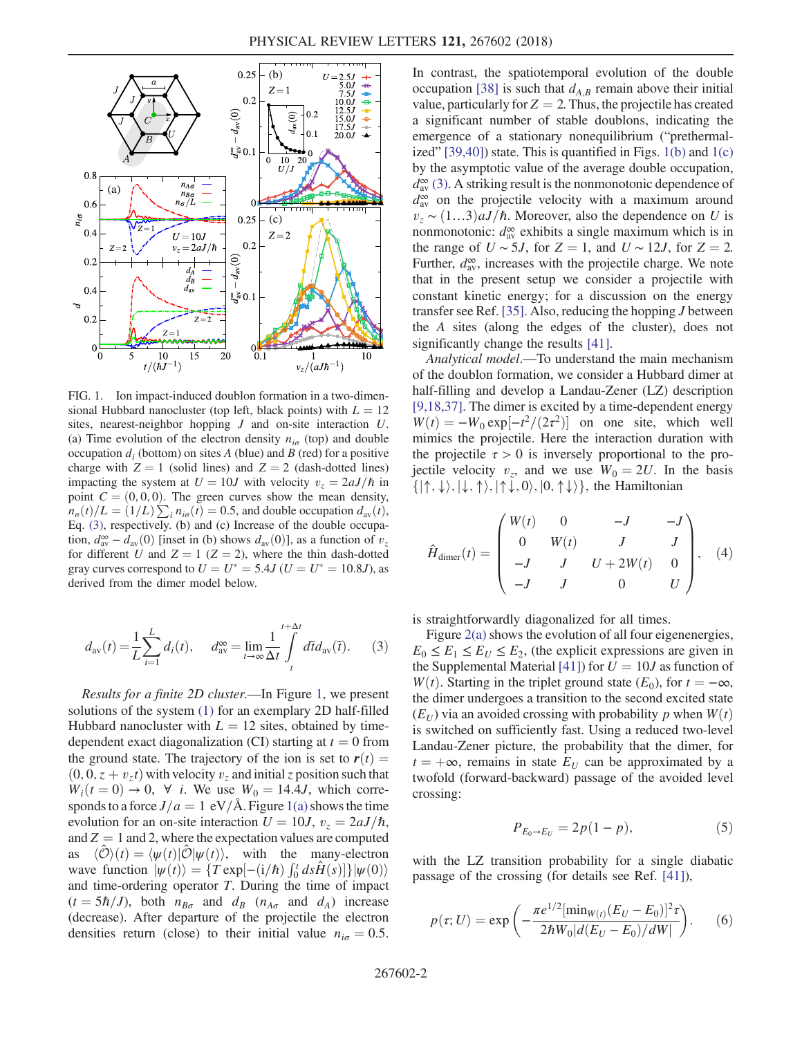<span id="page-1-0"></span>

FIG. 1. Ion impact-induced doublon formation in a two-dimensional Hubbard nanocluster (top left, black points) with  $L = 12$ sites, nearest-neighbor hopping J and on-site interaction U. (a) Time evolution of the electron density  $n_{i\sigma}$  (top) and double occupation  $d_i$  (bottom) on sites A (blue) and B (red) for a positive charge with  $Z = 1$  (solid lines) and  $Z = 2$  (dash-dotted lines) impacting the system at  $U = 10J$  with velocity  $v_z = 2aJ/\hbar$  in point  $C = (0, 0, 0)$ . The green curves show the mean density,  $n_{\sigma}(t)/L = (1/L) \sum_{i} n_{i\sigma}(t) = 0.5$ , and double occupation  $d_{av}(t)$ ,<br>For (3) respectively (b) and (c) Increase of the double occupa-Eq. [\(3\),](#page-1-1) respectively. (b) and (c) Increase of the double occupation,  $d_{av}^{\infty} - d_{av}(0)$  [inset in (b) shows  $d_{av}(0)$ ], as a function of  $v_z$ <br>for different *U* and  $Z - 1$  ( $Z - 2$ ) where the thin dash-dotted for different U and  $Z = 1$  ( $Z = 2$ ), where the thin dash-dotted gray curves correspond to  $U = U^* = 5.4J$  ( $U = U^* = 10.8J$ ), as derived from the dimer model below.

<span id="page-1-1"></span>
$$
d_{\rm av}(t) = \frac{1}{L} \sum_{i=1}^{L} d_i(t), \quad d_{\rm av}^{\infty} = \lim_{t \to \infty} \frac{1}{\Delta t} \int_{t}^{t + \Delta t} d\overline{t} d_{\rm av}(\overline{t}). \tag{3}
$$

Results for a finite 2D cluster.—In Figure [1](#page-1-0), we present solutions of the system [\(1\)](#page-0-0) for an exemplary 2D half-filled Hubbard nanocluster with  $L = 12$  sites, obtained by timedependent exact diagonalization (CI) starting at  $t = 0$  from the ground state. The trajectory of the ion is set to  $r(t) =$  $(0, 0, z + v_z t)$  with velocity  $v_z$  and initial z position such that  $W_i(t=0) \rightarrow 0$ ,  $\forall$  *i*. We use  $W_0 = 14.4J$ , which corresponds to a force  $J/a=1$  eV/Å. Figure [1\(a\)](#page-1-0) shows the time evolution for an on-site interaction  $U = 10J$ ,  $v_z = 2aJ/\hbar$ , and  $Z = 1$  and 2, where the expectation values are computed<br>as  $\langle \hat{\mathcal{O}} \rangle(t) = \langle \psi(t) | \hat{\mathcal{O}} | \psi(t) \rangle$ , with the many-electron  $\langle \mathcal{O} \rangle(t) = \langle \psi(t) | \mathcal{O} | \psi(t) \rangle$ , with the many-electron wave function  $|\psi(t)\rangle = \{T \exp[-(i/\hbar) \int_0^t ds \hat{H}(s)]\}|\psi(0)\rangle$ <br>and time-ordering operator T. During the time of impact and time-ordering operator T. During the time of impact  $(t = 5\hbar/J)$ , both  $n_{B\sigma}$  and  $d_B$   $(n_{A\sigma}$  and  $d_A)$  increase (decrease). After departure of the projectile the electron densities return (close) to their initial value  $n_{i\sigma} = 0.5$ . In contrast, the spatiotemporal evolution of the double occupation [\[38\]](#page-5-5) is such that  $d_{A,B}$  remain above their initial value, particularly for  $Z = 2$ . Thus, the projectile has created a significant number of stable doublons, indicating the emergence of a stationary nonequilibrium ("prethermalized"  $[39,40]$ ) state. This is quantified in Figs.  $1(b)$  and  $1(c)$ by the asymptotic value of the average double occupation,  $d_{\text{av}}^{\infty}$  [\(3\)](#page-1-1). A striking result is the nonmonotonic dependence of  $d_{\text{av}}^{\infty}$  on the projectile velocity with a maximum around  $v_z \sim (1...3)aJ/\hbar$ . Moreover, also the dependence on U is nonmonotonic:  $d_{av}^{\infty}$  exhibits a single maximum which is in the range of  $U \sim 5J$ , for  $Z = 1$ , and  $U \sim 12J$ , for  $Z = 2$ . Further,  $d_{av}^{\infty}$ , increases with the projectile charge. We note that in the present setup we consider a projectile with constant kinetic energy; for a discussion on the energy transfer see Ref. [\[35\]](#page-5-7). Also, reducing the hopping J between the A sites (along the edges of the cluster), does not significantly change the results [\[41\].](#page-5-8)

Analytical model.—To understand the main mechanism of the doublon formation, we consider a Hubbard dimer at half-filling and develop a Landau-Zener (LZ) description [\[9,18,37\]](#page-4-8). The dimer is excited by a time-dependent energy  $W(t) = -W_0 \exp[-t^2/(2\tau^2)]$  on one site, which well<br>mimics the projectile. Here the interaction duration with mimics the projectile. Here the interaction duration with the projectile  $\tau > 0$  is inversely proportional to the projectile velocity  $v_z$ , and we use  $W_0 = 2U$ . In the basis  $\{|\uparrow,\downarrow\rangle,|\downarrow,\uparrow\rangle,|\uparrow\downarrow,0\rangle,|0,\uparrow\downarrow\rangle\}$ , the Hamiltonian

<span id="page-1-2"></span>
$$
\hat{H}_{\text{dimer}}(t) = \begin{pmatrix} W(t) & 0 & -J & -J \\ 0 & W(t) & J & J \\ -J & J & U + 2W(t) & 0 \\ -J & J & 0 & U \end{pmatrix}, (4)
$$

is straightforwardly diagonalized for all times.

Figure  $2(a)$  shows the evolution of all four eigenenergies,  $E_0 \le E_1 \le E_U \le E_2$ , (the explicit expressions are given in the Supplemental Material [\[41\]\)](#page-5-8) for  $U = 10J$  as function of W(t). Starting in the triplet ground state ( $E_0$ ), for  $t = -\infty$ , the dimer undergoes a transition to the second excited state  $(E_U)$  via an avoided crossing with probability p when  $W(t)$ is switched on sufficiently fast. Using a reduced two-level Landau-Zener picture, the probability that the dimer, for  $t = +\infty$ , remains in state  $E_U$  can be approximated by a twofold (forward-backward) passage of the avoided level crossing:

$$
P_{E_0 \to E_U} = 2p(1 - p), \tag{5}
$$

<span id="page-1-4"></span><span id="page-1-3"></span>with the LZ transition probability for a single diabatic passage of the crossing (for details see Ref. [\[41\]\)](#page-5-8),

$$
p(\tau; U) = \exp\left(-\frac{\pi e^{1/2} [\min_{W(t)} (E_U - E_0)]^2 \tau}{2\hbar W_0 |d(E_U - E_0)/dW|}\right).
$$
 (6)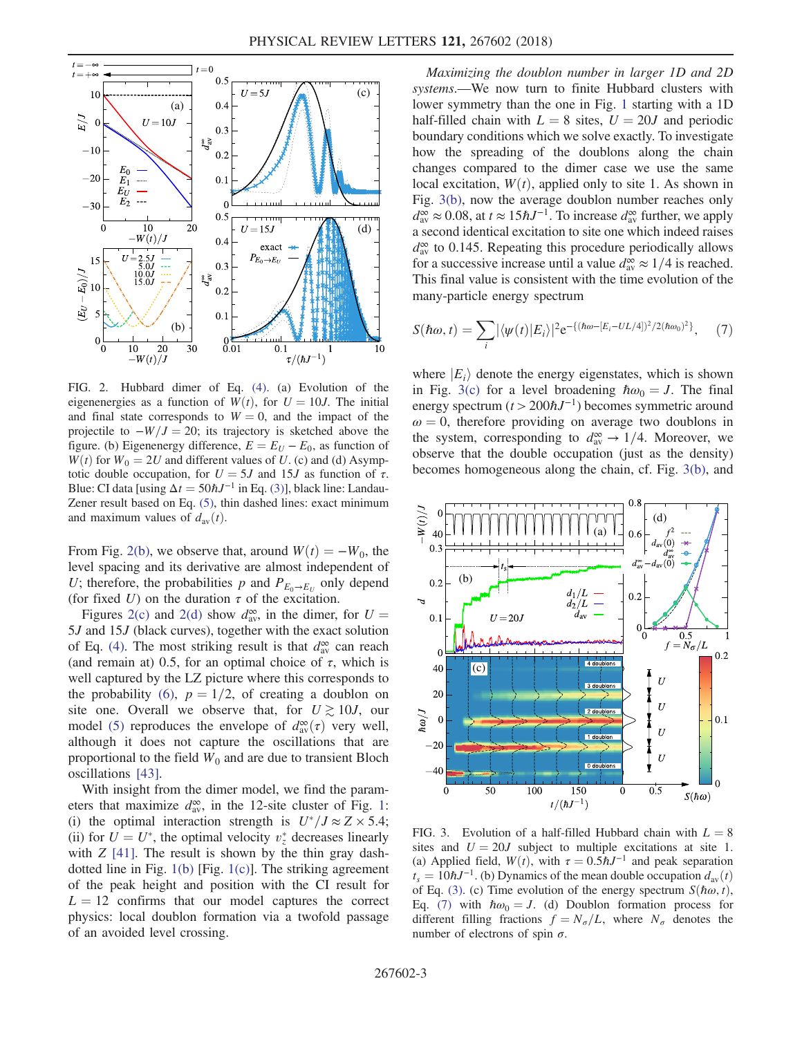<span id="page-2-0"></span>

FIG. 2. Hubbard dimer of Eq. [\(4\)](#page-1-2). (a) Evolution of the eigenenergies as a function of  $W(t)$ , for  $U = 10J$ . The initial and final state corresponds to  $W = 0$ , and the impact of the projectile to  $-W/J = 20$ ; its trajectory is sketched above the figure. (b) Eigenenergy difference,  $E = E_U - E_0$ , as function of  $W(t)$  for  $W_0 = 2U$  and different values of U. (c) and (d) Asymptotic double occupation, for  $U = 5J$  and 15J as function of  $\tau$ . Blue: CI data [using  $\Delta t = 50 \hbar J^{-1}$  in Eq. [\(3\)](#page-1-1)], black line: Landau-Zener result based on Eq. [\(5\)](#page-1-4), thin dashed lines: exact minimum and maximum values of  $d_{av}(t)$ .

From Fig. [2\(b\)](#page-2-0), we observe that, around  $W(t) = -W_0$ , the level spacing and its derivative are almost independent of U; therefore, the probabilities p and  $P_{E_0\rightarrow E_U}$  only depend (for fixed U) on the duration  $\tau$  of the excitation.

Figures [2\(c\)](#page-2-0) and [2\(d\)](#page-2-0) show  $d_{av}^{\infty}$ , in the dimer, for  $U =$  and 15*I* (black curves), together with the exact solution 5J and 15J (black curves), together with the exact solution of Eq. [\(4\).](#page-1-2) The most striking result is that  $d_{av}^{\infty}$  can reach (and remain at) 0.5, for an optimal choice of  $\tau$ , which is well captured by the LZ picture where this corresponds to the probability [\(6\)](#page-1-3),  $p = 1/2$ , of creating a doublon on site one. Overall we observe that, for  $U \gtrsim 10J$ , our model [\(5\)](#page-1-4) reproduces the envelope of  $d_{av}^{\infty}(\tau)$  very well,<br>although it does not capture the oscillations that are although it does not capture the oscillations that are proportional to the field  $W_0$  and are due to transient Bloch oscillations [\[43\]](#page-5-9).

With insight from the dimer model, we find the parameters that maximize  $d_{av}^{\infty}$ , in the [1](#page-1-0)2-site cluster of Fig. 1: (i) the optimal interaction strength is  $U^*/J \approx Z \times 5.4$ ; (ii) for  $U = U^*$ , the optimal velocity  $v_z^*$  decreases linearly with  $Z$  [411]. The result is shown by the thin gray dashwith  $Z$  [\[41\].](#page-5-8) The result is shown by the thin gray dashdotted line in Fig. [1\(b\)](#page-1-0) [Fig. [1\(c\)\]](#page-1-0). The striking agreement of the peak height and position with the CI result for  $L = 12$  confirms that our model captures the correct physics: local doublon formation via a twofold passage of an avoided level crossing.

Maximizing the doublon number in larger 1D and 2D systems.—We now turn to finite Hubbard clusters with lower symmetry than the one in Fig. [1](#page-1-0) starting with a 1D half-filled chain with  $L = 8$  sites,  $U = 20J$  and periodic boundary conditions which we solve exactly. To investigate how the spreading of the doublons along the chain changes compared to the dimer case we use the same local excitation,  $W(t)$ , applied only to site 1. As shown in Fig. [3\(b\),](#page-2-1) now the average doublon number reaches only  $d_{\text{av}}^{\infty} \approx 0.08$ , at  $t \approx 15 \hbar J^{-1}$ . To increase  $d_{\text{av}}^{\infty}$  further, we apply a second identical excitation to site one which indeed raises  $d_{av}^{\infty}$  to 0.145. Repeating this procedure periodically allows for a successive increase until a value  $d_{av}^{\infty} \approx 1/4$  is reached. This final value is consistent with the time evolution of the many-particle energy spectrum

<span id="page-2-2"></span>
$$
S(\hbar\omega, t) = \sum_{i} |\langle \psi(t) | E_{i} \rangle|^{2} e^{-\{(\hbar\omega - [E_{i} - UL/4])^{2}/2(\hbar\omega_{0})^{2}\}}, \quad (7)
$$

where  $|E_i\rangle$  denote the energy eigenstates, which is shown in Fig. [3\(c\)](#page-2-1) for a level broadening  $\hbar \omega_0 = J$ . The final energy spectrum  $(t > 200 \hbar J^{-1})$  becomes symmetric around  $\omega = 0$ , therefore providing on average two doublons in the system, corresponding to  $d_{av}^{\infty} \rightarrow 1/4$ . Moreover, we observe that the double occupation (just as the density) becomes homogeneous along the chain, cf. Fig. [3\(b\),](#page-2-1) and

<span id="page-2-1"></span>

FIG. 3. Evolution of a half-filled Hubbard chain with  $L = 8$ sites and  $U = 20J$  subject to multiple excitations at site 1. (a) Applied field,  $W(t)$ , with  $\tau = 0.5 \hbar J^{-1}$  and peak separation  $t_s = 10 \hbar J^{-1}$ . (b) Dynamics of the mean double occupation  $d_{av}(t)$ of Eq. [\(3\)](#page-1-1). (c) Time evolution of the energy spectrum  $S(\hbar\omega, t)$ , Eq. [\(7\)](#page-2-2) with  $\hbar \omega_0 = J$ . (d) Doublon formation process for different filling fractions  $f = N_{\sigma}/L$ , where  $N_{\sigma}$  denotes the number of electrons of spin  $\sigma$ .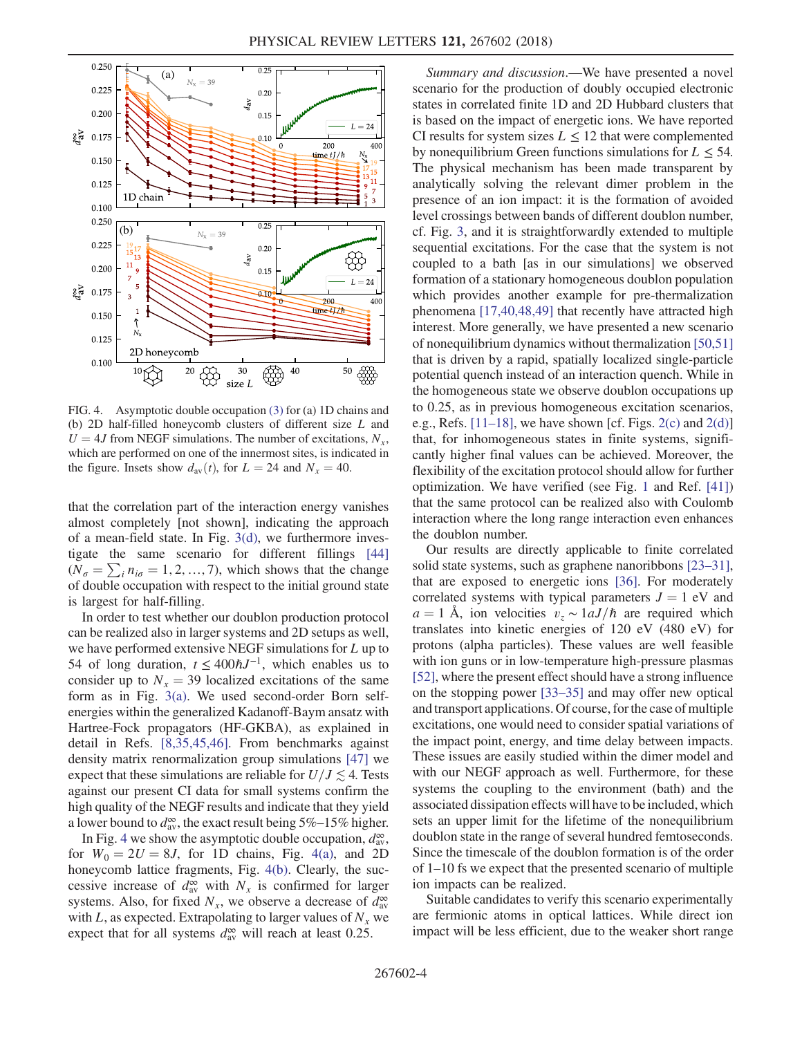<span id="page-3-0"></span>

FIG. 4. Asymptotic double occupation [\(3\)](#page-1-1) for (a) 1D chains and (b) 2D half-filled honeycomb clusters of different size L and  $U = 4J$  from NEGF simulations. The number of excitations,  $N_x$ , which are performed on one of the innermost sites, is indicated in the figure. Insets show  $d_{av}(t)$ , for  $L = 24$  and  $N_x = 40$ .

that the correlation part of the interaction energy vanishes almost completely [not shown], indicating the approach of a mean-field state. In Fig. [3\(d\),](#page-2-1) we furthermore investigate the same scenario for different fillings [\[44\]](#page-5-10)  $(N_{\sigma} = \sum_{i} n_{i\sigma} = 1, 2, ..., 7)$ , which shows that the change of double occupation with respect to the initial ground state is largest for half-filling.

In order to test whether our doublon production protocol can be realized also in larger systems and 2D setups as well, we have performed extensive NEGF simulations for L up to 54 of long duration,  $t \leq 400 \hbar J^{-1}$ , which enables us to consider up to  $N_x = 39$  localized excitations of the same form as in Fig. [3\(a\).](#page-2-1) We used second-order Born selfenergies within the generalized Kadanoff-Baym ansatz with Hartree-Fock propagators (HF-GKBA), as explained in detail in Refs. [\[8,35,45,46\]](#page-4-7). From benchmarks against density matrix renormalization group simulations [\[47\]](#page-5-11) we expect that these simulations are reliable for  $U/J \lesssim 4$ . Tests against our present CI data for small systems confirm the high quality of the NEGF results and indicate that they yield a lower bound to  $d_{av}^{\infty}$ , the exact result being 5%–15% higher.

In Fig. [4](#page-3-0) we show the asymptotic double occupation,  $d_{av}^{\infty}$ , for  $W_0 = 2U = 8J$ , for 1D chains, Fig. [4\(a\),](#page-3-0) and 2D honeycomb lattice fragments, Fig. [4\(b\).](#page-3-0) Clearly, the successive increase of  $d_{av}^{\infty}$  with  $N_x$  is confirmed for larger systems. Also, for fixed  $N_x$ , we observe a decrease of  $d_{av}^{\infty}$ with L, as expected. Extrapolating to larger values of  $N_x$  we expect that for all systems  $d_{av}^{\infty}$  will reach at least 0.25.

Summary and discussion.—We have presented a novel scenario for the production of doubly occupied electronic states in correlated finite 1D and 2D Hubbard clusters that is based on the impact of energetic ions. We have reported CI results for system sizes  $L \le 12$  that were complemented by nonequilibrium Green functions simulations for  $L \leq 54$ . The physical mechanism has been made transparent by analytically solving the relevant dimer problem in the presence of an ion impact: it is the formation of avoided level crossings between bands of different doublon number, cf. Fig. [3](#page-2-1), and it is straightforwardly extended to multiple sequential excitations. For the case that the system is not coupled to a bath [as in our simulations] we observed formation of a stationary homogeneous doublon population which provides another example for pre-thermalization phenomena [\[17,40,48,49\]](#page-4-16) that recently have attracted high interest. More generally, we have presented a new scenario of nonequilibrium dynamics without thermalization [\[50,51\]](#page-5-12) that is driven by a rapid, spatially localized single-particle potential quench instead of an interaction quench. While in the homogeneous state we observe doublon occupations up to 0.25, as in previous homogeneous excitation scenarios, e.g., Refs.  $[11-18]$  $[11-18]$ , we have shown [cf. Figs. [2\(c\)](#page-2-0) and [2\(d\)\]](#page-2-0) that, for inhomogeneous states in finite systems, significantly higher final values can be achieved. Moreover, the flexibility of the excitation protocol should allow for further optimization. We have verified (see Fig. [1](#page-1-0) and Ref. [\[41\]\)](#page-5-8) that the same protocol can be realized also with Coulomb interaction where the long range interaction even enhances the doublon number.

Our results are directly applicable to finite correlated solid state systems, such as graphene nanoribbons [\[23](#page-4-18)–31], that are exposed to energetic ions [\[36\].](#page-5-13) For moderately correlated systems with typical parameters  $J = 1$  eV and  $a = 1$  Å, ion velocities  $v_z \sim 1aJ/\hbar$  are required which translates into kinetic energies of 120 eV (480 eV) for protons (alpha particles). These values are well feasible with ion guns or in low-temperature high-pressure plasmas [\[52\]](#page-5-14), where the present effect should have a strong influence on the stopping power [33–[35\]](#page-5-3) and may offer new optical and transport applications. Of course, for the case of multiple excitations, one would need to consider spatial variations of the impact point, energy, and time delay between impacts. These issues are easily studied within the dimer model and with our NEGF approach as well. Furthermore, for these systems the coupling to the environment (bath) and the associated dissipation effects will have to be included, which sets an upper limit for the lifetime of the nonequilibrium doublon state in the range of several hundred femtoseconds. Since the timescale of the doublon formation is of the order of 1–10 fs we expect that the presented scenario of multiple ion impacts can be realized.

Suitable candidates to verify this scenario experimentally are fermionic atoms in optical lattices. While direct ion impact will be less efficient, due to the weaker short range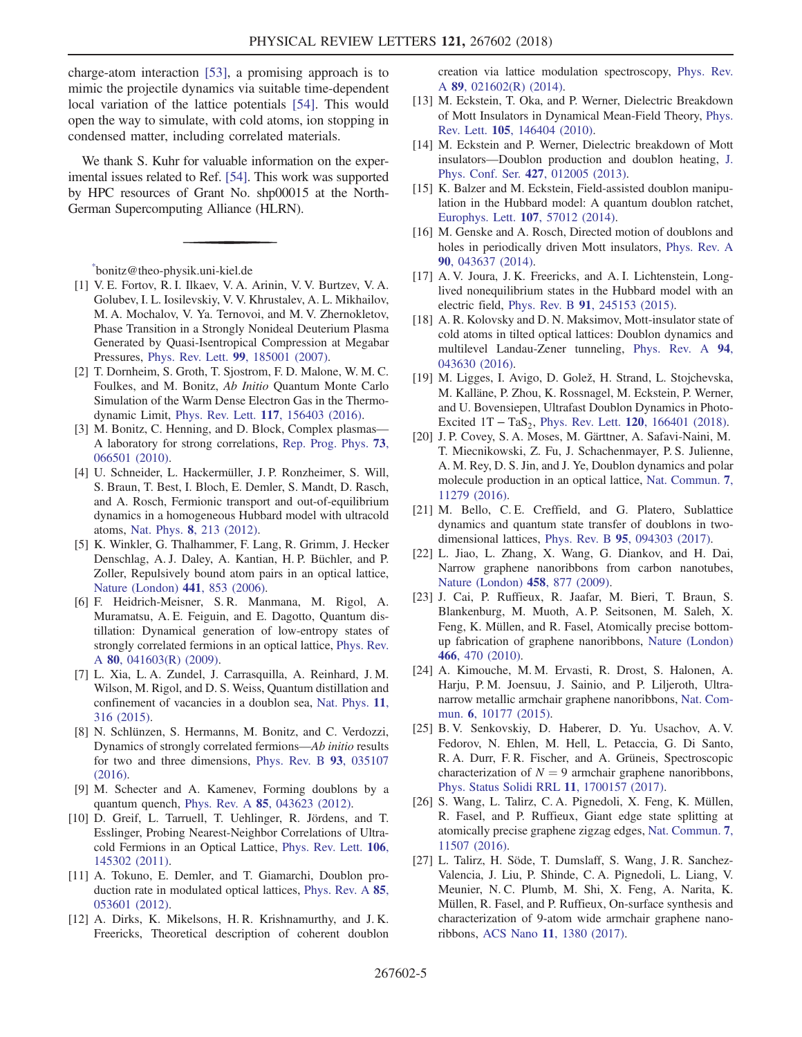charge-atom interaction [\[53\],](#page-5-15) a promising approach is to mimic the projectile dynamics via suitable time-dependent local variation of the lattice potentials [\[54\].](#page-5-16) This would open the way to simulate, with cold atoms, ion stopping in condensed matter, including correlated materials.

We thank S. Kuhr for valuable information on the experimental issues related to Ref. [\[54\].](#page-5-16) This work was supported by HPC resources of Grant No. shp00015 at the North-German Supercomputing Alliance (HLRN).

<span id="page-4-0"></span>[\\*](#page-0-1) bonitz@theo-physik.uni-kiel.de

- <span id="page-4-1"></span>[1] V. E. Fortov, R. I. Ilkaev, V. A. Arinin, V. V. Burtzev, V. A. Golubev, I. L. Iosilevskiy, V. V. Khrustalev, A. L. Mikhailov, M. A. Mochalov, V. Ya. Ternovoi, and M. V. Zhernokletov, Phase Transition in a Strongly Nonideal Deuterium Plasma Generated by Quasi-Isentropical Compression at Megabar Pressures, Phys. Rev. Lett. 99[, 185001 \(2007\)](https://doi.org/10.1103/PhysRevLett.99.185001).
- <span id="page-4-2"></span>[2] T. Dornheim, S. Groth, T. Sjostrom, F. D. Malone, W. M. C. Foulkes, and M. Bonitz, Ab Initio Quantum Monte Carlo Simulation of the Warm Dense Electron Gas in the Thermodynamic Limit, Phys. Rev. Lett. 117[, 156403 \(2016\)](https://doi.org/10.1103/PhysRevLett.117.156403).
- <span id="page-4-3"></span>[3] M. Bonitz, C. Henning, and D. Block, Complex plasmas— A laboratory for strong correlations, [Rep. Prog. Phys.](https://doi.org/10.1088/0034-4885/73/6/066501) 73, [066501 \(2010\).](https://doi.org/10.1088/0034-4885/73/6/066501)
- <span id="page-4-4"></span>[4] U. Schneider, L. Hackermüller, J. P. Ronzheimer, S. Will, S. Braun, T. Best, I. Bloch, E. Demler, S. Mandt, D. Rasch, and A. Rosch, Fermionic transport and out-of-equilibrium dynamics in a homogeneous Hubbard model with ultracold atoms, Nat. Phys. 8[, 213 \(2012\).](https://doi.org/10.1038/nphys2205)
- <span id="page-4-5"></span>[5] K. Winkler, G. Thalhammer, F. Lang, R. Grimm, J. Hecker Denschlag, A. J. Daley, A. Kantian, H. P. Büchler, and P. Zoller, Repulsively bound atom pairs in an optical lattice, [Nature \(London\)](https://doi.org/10.1038/nature04918) 441, 853 (2006).
- <span id="page-4-6"></span>[6] F. Heidrich-Meisner, S. R. Manmana, M. Rigol, A. Muramatsu, A. E. Feiguin, and E. Dagotto, Quantum distillation: Dynamical generation of low-entropy states of strongly correlated fermions in an optical lattice, [Phys. Rev.](https://doi.org/10.1103/PhysRevA.80.041603) A 80[, 041603\(R\) \(2009\).](https://doi.org/10.1103/PhysRevA.80.041603)
- [7] L. Xia, L. A. Zundel, J. Carrasquilla, A. Reinhard, J. M. Wilson, M. Rigol, and D. S. Weiss, Quantum distillation and confinement of vacancies in a doublon sea, [Nat. Phys.](https://doi.org/10.1038/nphys3244) 11, [316 \(2015\)](https://doi.org/10.1038/nphys3244).
- <span id="page-4-7"></span>[8] N. Schlünzen, S. Hermanns, M. Bonitz, and C. Verdozzi, Dynamics of strongly correlated fermions—Ab initio results for two and three dimensions, [Phys. Rev. B](https://doi.org/10.1103/PhysRevB.93.035107) 93, 035107 [\(2016\).](https://doi.org/10.1103/PhysRevB.93.035107)
- <span id="page-4-9"></span><span id="page-4-8"></span>[9] M. Schecter and A. Kamenev, Forming doublons by a quantum quench, Phys. Rev. A 85[, 043623 \(2012\).](https://doi.org/10.1103/PhysRevA.85.043623)
- [10] D. Greif, L. Tarruell, T. Uehlinger, R. Jördens, and T. Esslinger, Probing Nearest-Neighbor Correlations of Ultracold Fermions in an Optical Lattice, [Phys. Rev. Lett.](https://doi.org/10.1103/PhysRevLett.106.145302) 106, [145302 \(2011\).](https://doi.org/10.1103/PhysRevLett.106.145302)
- <span id="page-4-17"></span>[11] A. Tokuno, E. Demler, and T. Giamarchi, Doublon production rate in modulated optical lattices, [Phys. Rev. A](https://doi.org/10.1103/PhysRevA.85.053601) 85, [053601 \(2012\).](https://doi.org/10.1103/PhysRevA.85.053601)
- [12] A. Dirks, K. Mikelsons, H. R. Krishnamurthy, and J. K. Freericks, Theoretical description of coherent doublon

creation via lattice modulation spectroscopy, [Phys. Rev.](https://doi.org/10.1103/PhysRevA.89.021602) A 89[, 021602\(R\) \(2014\).](https://doi.org/10.1103/PhysRevA.89.021602)

- <span id="page-4-10"></span>[13] M. Eckstein, T. Oka, and P. Werner, Dielectric Breakdown of Mott Insulators in Dynamical Mean-Field Theory, [Phys.](https://doi.org/10.1103/PhysRevLett.105.146404) Rev. Lett. 105[, 146404 \(2010\).](https://doi.org/10.1103/PhysRevLett.105.146404)
- [14] M. Eckstein and P. Werner, Dielectric breakdown of Mott insulators—Doublon production and doublon heating, [J.](https://doi.org/10.1088/1742-6596/427/1/012005) [Phys. Conf. Ser.](https://doi.org/10.1088/1742-6596/427/1/012005) 427, 012005 (2013).
- [15] K. Balzer and M. Eckstein, Field-assisted doublon manipulation in the Hubbard model: A quantum doublon ratchet, [Europhys. Lett.](https://doi.org/10.1209/0295-5075/107/57012) 107, 57012 (2014).
- [16] M. Genske and A. Rosch, Directed motion of doublons and holes in periodically driven Mott insulators, [Phys. Rev. A](https://doi.org/10.1103/PhysRevA.90.043637) 90[, 043637 \(2014\).](https://doi.org/10.1103/PhysRevA.90.043637)
- <span id="page-4-16"></span>[17] A. V. Joura, J. K. Freericks, and A. I. Lichtenstein, Longlived nonequilibrium states in the Hubbard model with an electric field, Phys. Rev. B 91[, 245153 \(2015\)](https://doi.org/10.1103/PhysRevB.91.245153).
- [18] A. R. Kolovsky and D. N. Maksimov, Mott-insulator state of cold atoms in tilted optical lattices: Doublon dynamics and multilevel Landau-Zener tunneling, [Phys. Rev. A](https://doi.org/10.1103/PhysRevA.94.043630) 94, [043630 \(2016\).](https://doi.org/10.1103/PhysRevA.94.043630)
- <span id="page-4-11"></span>[19] M. Ligges, I. Avigo, D. Golež, H. Strand, L. Stojchevska, M. Kalläne, P. Zhou, K. Rossnagel, M. Eckstein, P. Werner, and U. Bovensiepen, Ultrafast Doublon Dynamics in Photo-Excited  $1T - TaS_2$ , Phys. Rev. Lett. 120[, 166401 \(2018\).](https://doi.org/10.1103/PhysRevLett.120.166401)
- <span id="page-4-12"></span>[20] J. P. Covey, S. A. Moses, M. Gärttner, A. Safavi-Naini, M. T. Miecnikowski, Z. Fu, J. Schachenmayer, P. S. Julienne, A. M. Rey, D. S. Jin, and J. Ye, Doublon dynamics and polar molecule production in an optical lattice, [Nat. Commun.](https://doi.org/10.1038/ncomms11279) 7, [11279 \(2016\).](https://doi.org/10.1038/ncomms11279)
- <span id="page-4-13"></span>[21] M. Bello, C.E. Creffield, and G. Platero, Sublattice dynamics and quantum state transfer of doublons in twodimensional lattices, Phys. Rev. B 95[, 094303 \(2017\)](https://doi.org/10.1103/PhysRevB.95.094303).
- <span id="page-4-14"></span>[22] L. Jiao, L. Zhang, X. Wang, G. Diankov, and H. Dai, Narrow graphene nanoribbons from carbon nanotubes, [Nature \(London\)](https://doi.org/10.1038/nature07919) 458, 877 (2009).
- <span id="page-4-18"></span>[23] J. Cai, P. Ruffieux, R. Jaafar, M. Bieri, T. Braun, S. Blankenburg, M. Muoth, A. P. Seitsonen, M. Saleh, X. Feng, K. Müllen, and R. Fasel, Atomically precise bottomup fabrication of graphene nanoribbons, [Nature \(London\)](https://doi.org/10.1038/nature09211) 466[, 470 \(2010\)](https://doi.org/10.1038/nature09211).
- [24] A. Kimouche, M. M. Ervasti, R. Drost, S. Halonen, A. Harju, P. M. Joensuu, J. Sainio, and P. Liljeroth, Ultranarrow metallic armchair graphene nanoribbons, [Nat. Com](https://doi.org/10.1038/ncomms10177)mun. 6[, 10177 \(2015\).](https://doi.org/10.1038/ncomms10177)
- <span id="page-4-15"></span>[25] B. V. Senkovskiy, D. Haberer, D. Yu. Usachov, A. V. Fedorov, N. Ehlen, M. Hell, L. Petaccia, G. Di Santo, R. A. Durr, F. R. Fischer, and A. Grüneis, Spectroscopic characterization of  $N = 9$  armchair graphene nanoribbons, [Phys. Status Solidi RRL](https://doi.org/10.1002/pssr.201700157) 11, 1700157 (2017).
- [26] S. Wang, L. Talirz, C. A. Pignedoli, X. Feng, K. Müllen, R. Fasel, and P. Ruffieux, Giant edge state splitting at atomically precise graphene zigzag edges, [Nat. Commun.](https://doi.org/10.1038/ncomms11507) 7, [11507 \(2016\).](https://doi.org/10.1038/ncomms11507)
- [27] L. Talirz, H. Söde, T. Dumslaff, S. Wang, J. R. Sanchez-Valencia, J. Liu, P. Shinde, C. A. Pignedoli, L. Liang, V. Meunier, N. C. Plumb, M. Shi, X. Feng, A. Narita, K. Müllen, R. Fasel, and P. Ruffieux, On-surface synthesis and characterization of 9-atom wide armchair graphene nanoribbons, ACS Nano 11[, 1380 \(2017\).](https://doi.org/10.1021/acsnano.6b06405)